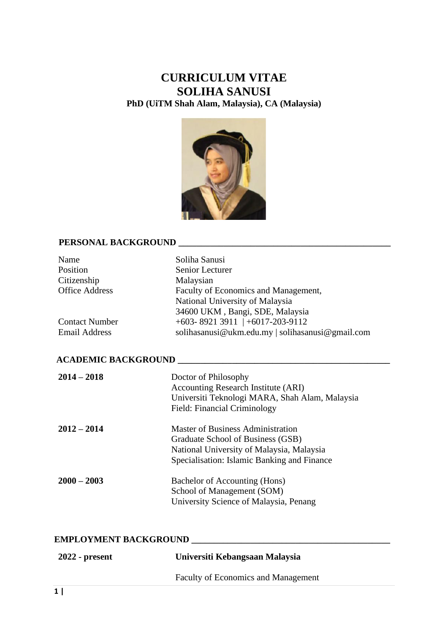# **CURRICULUM VITAE SOLIHA SANUSI PhD (UiTM Shah Alam, Malaysia), CA (Malaysia)**



# **PERSONAL BACKGROUND \_\_\_\_\_\_\_\_\_\_\_\_\_\_\_\_\_\_\_\_\_\_\_\_\_\_\_\_\_\_\_\_\_\_\_\_\_\_\_\_\_\_\_\_\_\_\_**

| Name<br>Position<br>Citizenship<br><b>Office Address</b> | Soliha Sanusi<br>Senior Lecturer<br>Malaysian<br>Faculty of Economics and Management,<br>National University of Malaysia<br>34600 UKM, Bangi, SDE, Malaysia |  |
|----------------------------------------------------------|-------------------------------------------------------------------------------------------------------------------------------------------------------------|--|
| <b>Contact Number</b>                                    | $+603 - 8921$ 3911 $+6017 - 203 - 9112$                                                                                                                     |  |
| <b>Email Address</b>                                     | solihasanusi@ukm.edu.my   solihasanusi@gmail.com                                                                                                            |  |
|                                                          |                                                                                                                                                             |  |
| <b>ACADEMIC BACKGROUND</b>                               |                                                                                                                                                             |  |
| $2014 - 2018$                                            | Doctor of Philosophy                                                                                                                                        |  |
|                                                          | <b>Accounting Research Institute (ARI)</b>                                                                                                                  |  |
|                                                          | Universiti Teknologi MARA, Shah Alam, Malaysia                                                                                                              |  |
|                                                          | Field: Financial Criminology                                                                                                                                |  |
| $2012 - 2014$                                            | <b>Master of Business Administration</b>                                                                                                                    |  |
|                                                          | Graduate School of Business (GSB)                                                                                                                           |  |
|                                                          | National University of Malaysia, Malaysia                                                                                                                   |  |
|                                                          | Specialisation: Islamic Banking and Finance                                                                                                                 |  |
| $2000 - 2003$                                            | Bachelor of Accounting (Hons)                                                                                                                               |  |
|                                                          | School of Management (SOM)                                                                                                                                  |  |
|                                                          | University Science of Malaysia, Penang                                                                                                                      |  |

# **EMPLOYMENT BACKGROUND**

| 2022 - present | Universiti Kebangsaan Malaysia             |
|----------------|--------------------------------------------|
|                | <b>Faculty of Economics and Management</b> |
|                |                                            |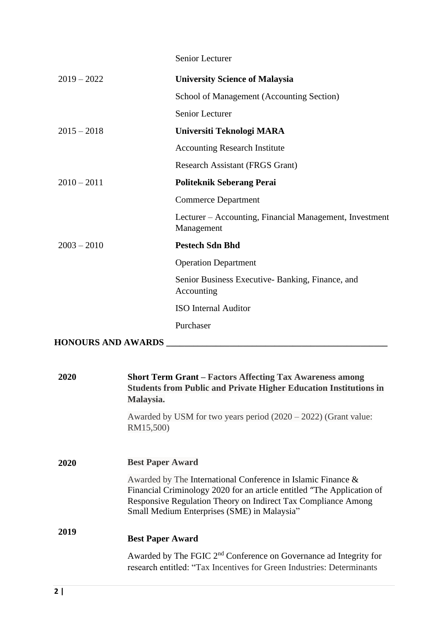|                           | Senior Lecturer                                                                                                                                                                                                                                        |
|---------------------------|--------------------------------------------------------------------------------------------------------------------------------------------------------------------------------------------------------------------------------------------------------|
| $2019 - 2022$             | <b>University Science of Malaysia</b>                                                                                                                                                                                                                  |
|                           | School of Management (Accounting Section)                                                                                                                                                                                                              |
|                           | <b>Senior Lecturer</b>                                                                                                                                                                                                                                 |
| $2015 - 2018$             | Universiti Teknologi MARA                                                                                                                                                                                                                              |
|                           | <b>Accounting Research Institute</b>                                                                                                                                                                                                                   |
|                           | Research Assistant (FRGS Grant)                                                                                                                                                                                                                        |
| $2010 - 2011$             | <b>Politeknik Seberang Perai</b>                                                                                                                                                                                                                       |
|                           | <b>Commerce Department</b>                                                                                                                                                                                                                             |
|                           | Lecturer – Accounting, Financial Management, Investment<br>Management                                                                                                                                                                                  |
| $2003 - 2010$             | <b>Pestech Sdn Bhd</b>                                                                                                                                                                                                                                 |
|                           | <b>Operation Department</b>                                                                                                                                                                                                                            |
|                           | Senior Business Executive-Banking, Finance, and<br>Accounting                                                                                                                                                                                          |
|                           | <b>ISO</b> Internal Auditor                                                                                                                                                                                                                            |
|                           | Purchaser                                                                                                                                                                                                                                              |
| <b>HONOURS AND AWARDS</b> |                                                                                                                                                                                                                                                        |
|                           |                                                                                                                                                                                                                                                        |
| 2020                      | <b>Short Term Grant – Factors Affecting Tax Awareness among</b><br><b>Students from Public and Private Higher Education Institutions in</b><br>Malaysia.                                                                                               |
|                           | Awarded by USM for two years period $(2020 – 2022)$ (Grant value:<br>RM15,500)                                                                                                                                                                         |
| 2020                      | <b>Best Paper Award</b>                                                                                                                                                                                                                                |
|                           | Awarded by The International Conference in Islamic Finance &<br>Financial Criminology 2020 for an article entitled "The Application of<br>Responsive Regulation Theory on Indirect Tax Compliance Among<br>Small Medium Enterprises (SME) in Malaysia" |
| 2019                      | <b>Best Paper Award</b>                                                                                                                                                                                                                                |
|                           | Awarded by The FGIC 2 <sup>nd</sup> Conference on Governance ad Integrity for                                                                                                                                                                          |

research entitled: "Tax Incentives for Green Industries: Determinants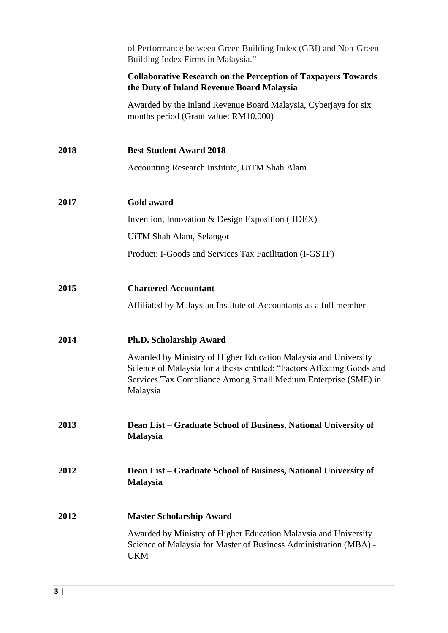|      | of Performance between Green Building Index (GBI) and Non-Green<br>Building Index Firms in Malaysia."                                                                                                                    |
|------|--------------------------------------------------------------------------------------------------------------------------------------------------------------------------------------------------------------------------|
|      | <b>Collaborative Research on the Perception of Taxpayers Towards</b><br>the Duty of Inland Revenue Board Malaysia                                                                                                        |
|      | Awarded by the Inland Revenue Board Malaysia, Cyberjaya for six<br>months period (Grant value: RM10,000)                                                                                                                 |
| 2018 | <b>Best Student Award 2018</b>                                                                                                                                                                                           |
|      | Accounting Research Institute, UiTM Shah Alam                                                                                                                                                                            |
| 2017 | Gold award                                                                                                                                                                                                               |
|      | Invention, Innovation & Design Exposition (IIDEX)                                                                                                                                                                        |
|      | UiTM Shah Alam, Selangor                                                                                                                                                                                                 |
|      | Product: I-Goods and Services Tax Facilitation (I-GSTF)                                                                                                                                                                  |
| 2015 | <b>Chartered Accountant</b>                                                                                                                                                                                              |
|      | Affiliated by Malaysian Institute of Accountants as a full member                                                                                                                                                        |
| 2014 | <b>Ph.D. Scholarship Award</b>                                                                                                                                                                                           |
|      | Awarded by Ministry of Higher Education Malaysia and University<br>Science of Malaysia for a thesis entitled: "Factors Affecting Goods and<br>Services Tax Compliance Among Small Medium Enterprise (SME) in<br>Malaysia |
| 2013 | Dean List – Graduate School of Business, National University of<br><b>Malaysia</b>                                                                                                                                       |
| 2012 | Dean List - Graduate School of Business, National University of<br><b>Malaysia</b>                                                                                                                                       |
| 2012 | <b>Master Scholarship Award</b>                                                                                                                                                                                          |
|      | Awarded by Ministry of Higher Education Malaysia and University<br>Science of Malaysia for Master of Business Administration (MBA) -<br><b>UKM</b>                                                                       |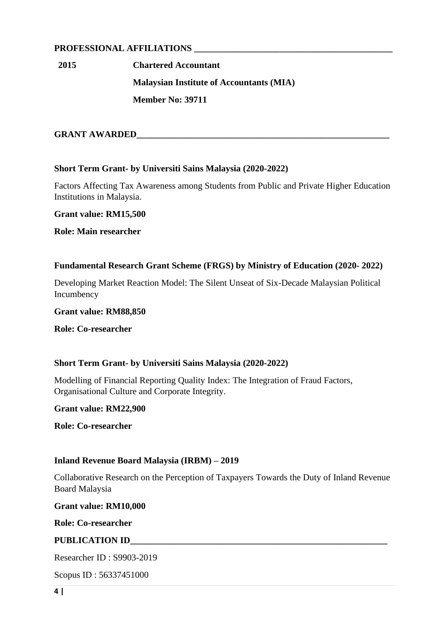# **PROFESSIONAL AFFILIATIONS \_\_\_\_\_\_\_\_\_\_\_\_\_\_\_\_\_\_\_\_\_\_\_\_\_\_\_\_\_\_\_\_\_\_\_\_\_\_\_\_\_\_\_\_**

**2015 Chartered Accountant Malaysian Institute of Accountants (MIA) Member No: 39711**

# **GRANT AWARDED**

# **Short Term Grant- by Universiti Sains Malaysia (2020-2022)**

Factors Affecting Tax Awareness among Students from Public and Private Higher Education Institutions in Malaysia.

**Grant value: RM15,500**

**Role: Main researcher**

# **Fundamental Research Grant Scheme (FRGS) by Ministry of Education (2020- 2022)**

Developing Market Reaction Model: The Silent Unseat of Six-Decade Malaysian Political Incumbency

**Grant value: RM88,850**

**Role: Co-researcher**

# **Short Term Grant- by Universiti Sains Malaysia (2020-2022)**

Modelling of Financial Reporting Quality Index: The Integration of Fraud Factors, Organisational Culture and Corporate Integrity.

# **Grant value: RM22,900**

**Role: Co-researcher**

# **Inland Revenue Board Malaysia (IRBM) – 2019**

Collaborative Research on the Perception of Taxpayers Towards the Duty of Inland Revenue Board Malaysia

**Grant value: RM10,000**

**Role: Co-researcher**

# **PUBLICATION ID\_\_\_\_\_\_\_\_\_\_\_\_\_\_\_\_\_\_\_\_\_\_\_\_\_\_\_\_\_\_\_\_\_\_\_\_\_\_\_\_\_\_\_\_\_\_\_\_\_\_\_\_\_\_\_\_\_**

Researcher ID : S9903-2019

Scopus ID : 56337451000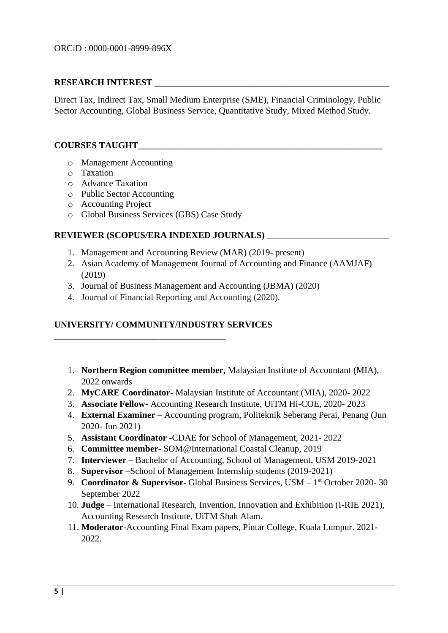# **RESEARCH INTEREST**

Direct Tax, Indirect Tax, Small Medium Enterprise (SME), Financial Criminology, Public Sector Accounting, Global Business Service, Quantitative Study, Mixed Method Study.

# **COURSES TAUGHT**

- o Management Accounting
- o Taxation
- o Advance Taxation
- o Public Sector Accounting
- o Accounting Project
- o Global Business Services (GBS) Case Study

# **REVIEWER (SCOPUS/ERA INDEXED JOURNALS) \_\_\_\_\_\_\_\_\_\_\_\_\_\_\_\_\_\_\_\_\_\_\_\_\_\_\_**

- 1. Management and Accounting Review (MAR) (2019- present)
- 2. Asian Academy of Management Journal of Accounting and Finance (AAMJAF) (2019)
- 3. Journal of Business Management and Accounting (JBMA) (2020)
- 4. Journal of Financial Reporting and Accounting (2020).

# **UNIVERSITY/ COMMUNITY/INDUSTRY SERVICES**

**\_\_\_\_\_\_\_\_\_\_\_\_\_\_\_\_\_\_\_\_\_\_\_\_\_\_\_\_\_\_\_\_\_\_\_\_\_\_**

- 1. **Northern Region committee member,** Malaysian Institute of Accountant (MIA), 2022 onwards
- 2. **MyCARE Coordinator-** Malaysian Institute of Accountant (MIA), 2020- 2022
- 3. **Associate Fellow-** Accounting Research Institute, UiTM Hi-COE, 2020- 2023
- 4. **External Examiner –** Accounting program, Politeknik Seberang Perai, Penang (Jun 2020- Jun 2021)
- 5. **Assistant Coordinator -**CDAE for School of Management, 2021- 2022
- 6. **Committee member-** SOM@International Coastal Cleanup, 2019
- 7. **Interviewer –** Bachelor of Accounting, School of Management, USM 2019-2021
- 8. **Supervisor –**School of Management Internship students (2019-2021)
- 9. **Coordinator & Supervisor** Global Business Services, USM 1<sup>st</sup> October 2020-30 September 2022
- 10. **Judge** International Research, Invention, Innovation and Exhibition (I-RIE 2021), Accounting Research Institute, UiTM Shah Alam.
- 11. **Moderator**-Accounting Final Exam papers, Pintar College, Kuala Lumpur. 2021- 2022.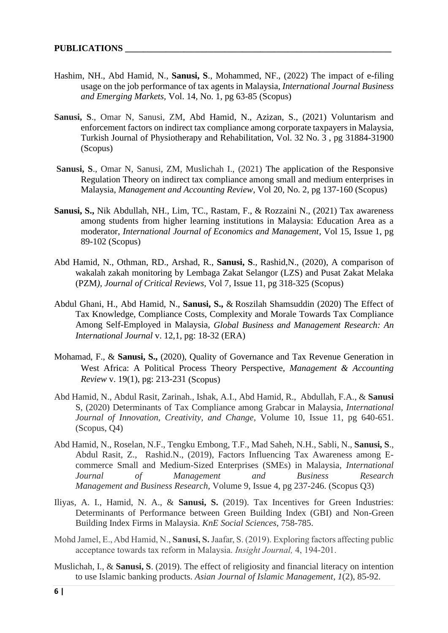- Hashim, NH., Abd Hamid, N., **Sanusi, S**., Mohammed, NF., (2022) The impact of e-filing usage on the job performance of tax agents in Malaysia, *International Journal Business and Emerging Markets,* Vol. 14, No. 1, pg 63-85 (Scopus)
- **Sanusi, S**., Omar N, Sanusi, ZM, Abd Hamid, N., Azizan, S., (2021) Voluntarism and enforcement factors on indirect tax compliance among corporate taxpayers in Malaysia, Turkish Journal of Physiotherapy and Rehabilitation, Vol. 32 No. 3 , pg 31884-31900 (Scopus)
- **Sanusi, S**., Omar N, Sanusi, ZM, Muslichah I., (2021) The application of the Responsive Regulation Theory on indirect tax compliance among small and medium enterprises in Malaysia, *Management and Accounting Review*, Vol 20, No. 2, pg 137-160 (Scopus)
- **Sanusi, S.,** Nik Abdullah, NH., Lim, TC., Rastam, F., & Rozzaini N., (2021) Tax awareness among students from higher learning institutions in Malaysia: Education Area as a moderator, *International Journal of Economics and Management,* Vol 15, Issue 1, pg 89-102 (Scopus)
- Abd Hamid, N., Othman, RD., Arshad, R., **Sanusi, S**., Rashid,N., (2020), A comparison of wakalah zakah monitoring by Lembaga Zakat Selangor (LZS) and Pusat Zakat Melaka (PZM*), Journal of Critical Reviews*, Vol 7, Issue 11, pg 318-325 (Scopus)
- Abdul Ghani, H., Abd Hamid, N., **Sanusi, S.,** & Roszilah Shamsuddin (2020) The Effect of Tax Knowledge, Compliance Costs, Complexity and Morale Towards Tax Compliance Among Self-Employed in Malaysia, *Global Business and Management Research: An International Journal* v. 12,1, pg: 18-32 (ERA)
- Mohamad, F., & **Sanusi, S.,** (2020), Quality of Governance and Tax Revenue Generation in West Africa: A Political Process Theory Perspective, *Management & Accounting Review* v. 19(1), pg: 213-231 (Scopus)
- Abd Hamid, N., Abdul Rasit, Zarinah., Ishak, A.I., Abd Hamid, R., Abdullah, F.A., & **Sanusi**  S, (2020) Determinants of Tax Compliance among Grabcar in Malaysia*, International Journal of Innovation, Creativity, and Change,* Volume 10, Issue 11, pg 640-651. (Scopus, Q4)
- Abd Hamid, N., Roselan, N.F., Tengku Embong, T.F., Mad Saheh, N.H., Sabli, N., **Sanusi, S**., Abdul Rasit, Z., Rashid.N., (2019), Factors Influencing Tax Awareness among Ecommerce Small and Medium-Sized Enterprises (SMEs) in Malaysia*, International Journal of Management and Business Research Management and Business Research*, Volume 9, Issue 4, pg 237-246. (Scopus Q3)
- Iliyas, A. I., Hamid, N. A., & **Sanusi, S.** (2019). Tax Incentives for Green Industries: Determinants of Performance between Green Building Index (GBI) and Non-Green Building Index Firms in Malaysia. *KnE Social Sciences*, 758-785.
- Mohd Jamel, E., Abd Hamid, N., **Sanusi, S.** Jaafar, S. (2019). Exploring factors affecting public acceptance towards tax reform in Malaysia. *Insight Journal,* 4, 194-201.
- Muslichah, I., & **Sanusi, S**. (2019). The effect of religiosity and financial literacy on intention to use Islamic banking products. *Asian Journal of Islamic Management*, *1*(2), 85-92.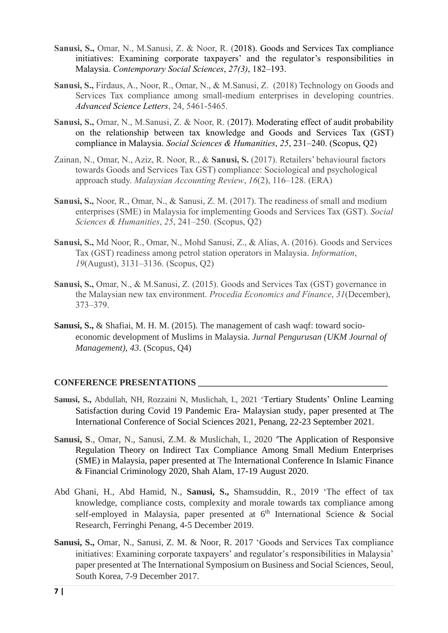- **Sanusi, S.,** Omar, N., M.Sanusi, Z. & Noor, R. (2018). Goods and Services Tax compliance initiatives: Examining corporate taxpayers' and the regulator's responsibilities in Malaysia. *Contemporary Social Sciences*, *27(3)*, 182–193.
- **Sanusi, S.,** Firdaus, A., Noor, R., Omar, N., & M.Sanusi, Z. (2018) Technology on Goods and Services Tax compliance among small-medium enterprises in developing countries. *[Advanced Science Letters](http://www.ingentaconnect.com/content/asp/asl)*, 24, 5461-5465.
- **Sanusi, S.,** Omar, N., M.Sanusi, Z. & Noor, R. (2017). Moderating effect of audit probability on the relationship between tax knowledge and Goods and Services Tax (GST) compliance in Malaysia. *Social Sciences & Humanities*, *25*, 231–240. (Scopus, Q2)
- Zainan, N., Omar, N., Aziz, R. Noor, R., & **Sanusi, S.** (2017). Retailers' behavioural factors towards Goods and Services Tax GST) compliance: Sociological and psychological approach study. *Malaysian Accounting Review*, *16*(2), 116–128. (ERA)
- **Sanusi, S.,** Noor, R., Omar, N., & Sanusi, Z. M. (2017). The readiness of small and medium enterprises (SME) in Malaysia for implementing Goods and Services Tax (GST). *Social Sciences & Humanities*, *25*, 241–250. (Scopus, Q2)
- **Sanusi, S.,** Md Noor, R., Omar, N., Mohd Sanusi, Z., & Alias, A. (2016). Goods and Services Tax (GST) readiness among petrol station operators in Malaysia. *Information*, *19*(August), 3131–3136. (Scopus, Q2)
- **Sanusi, S.,** Omar, N., & M.Sanusi, Z. (2015). Goods and Services Tax (GST) governance in the Malaysian new tax environment. *Procedia Economics and Finance*, *31*(December), 373–379.
- **Sanusi, S.,** & Shafiai, M. H. M. (2015). The management of cash waqf: toward socioeconomic development of Muslims in Malaysia. *Jurnal Pengurusan (UKM Journal of Management)*, *43*. (Scopus, Q4)

# **CONFERENCE PRESENTATIONS \_\_\_\_\_\_\_\_\_\_\_\_\_\_\_\_\_\_\_\_\_\_\_\_\_\_\_\_\_\_\_\_\_\_\_\_\_\_\_\_\_\_**

- **Sanusi, S.,** Abdullah, NH, Rozzaini N, Muslichah, I., 2021 'Tertiary Students' Online Learning Satisfaction during Covid 19 Pandemic Era- Malaysian study, paper presented at The International Conference of Social Sciences 2021, Penang, 22-23 September 2021.
- **Sanusi, S**., Omar, N., Sanusi, Z.M. & Muslichah, I., 2020 'The Application of Responsive Regulation Theory on Indirect Tax Compliance Among Small Medium Enterprises (SME) in Malaysia, paper presented at The International Conference In Islamic Finance & Financial Criminology 2020, Shah Alam, 17-19 August 2020.
- Abd Ghani, H., Abd Hamid, N., **Sanusi, S.,** Shamsuddin, R., 2019 'The effect of tax knowledge, compliance costs, complexity and morale towards tax compliance among self-employed in Malaysia, paper presented at  $6<sup>th</sup>$  International Science & Social Research, Ferringhi Penang, 4-5 December 2019.
- **Sanusi, S.,** Omar, N., Sanusi, Z. M. & Noor, R. 2017 'Goods and Services Tax compliance initiatives: Examining corporate taxpayers' and regulator's responsibilities in Malaysia' paper presented at The International Symposium on Business and Social Sciences, Seoul, South Korea, 7-9 December 2017.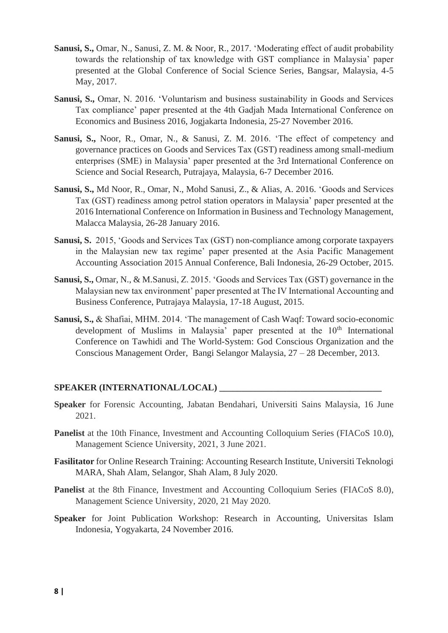- **Sanusi, S.,** Omar, N., Sanusi, Z. M. & Noor, R., 2017. 'Moderating effect of audit probability towards the relationship of tax knowledge with GST compliance in Malaysia' paper presented at the Global Conference of Social Science Series, Bangsar, Malaysia, 4-5 May, 2017.
- **Sanusi, S.,** Omar, N. 2016. 'Voluntarism and business sustainability in Goods and Services Tax compliance' paper presented at the 4th Gadjah Mada International Conference on Economics and Business 2016, Jogjakarta Indonesia, 25-27 November 2016.
- **Sanusi, S.,** Noor, R., Omar, N., & Sanusi, Z. M. 2016. 'The effect of competency and governance practices on Goods and Services Tax (GST) readiness among small-medium enterprises (SME) in Malaysia' paper presented at the 3rd International Conference on Science and Social Research, Putrajaya, Malaysia, 6-7 December 2016.
- **Sanusi, S.,** Md Noor, R., Omar, N., Mohd Sanusi, Z., & Alias, A. 2016. 'Goods and Services Tax (GST) readiness among petrol station operators in Malaysia' paper presented at the 2016 International Conference on Information in Business and Technology Management, Malacca Malaysia, 26-28 January 2016.
- **Sanusi, S.** 2015, 'Goods and Services Tax (GST) non-compliance among corporate taxpayers in the Malaysian new tax regime' paper presented at the Asia Pacific Management Accounting Association 2015 Annual Conference, Bali Indonesia, 26-29 October, 2015.
- **Sanusi, S.,** Omar, N., & M.Sanusi, Z. 2015. 'Goods and Services Tax (GST) governance in the Malaysian new tax environment' paper presented at The IV International Accounting and Business Conference, Putrajaya Malaysia, 17-18 August, 2015.
- **Sanusi, S.,** & Shafiai, MHM. 2014. 'The management of Cash Waqf: Toward socio-economic development of Muslims in Malaysia' paper presented at the  $10<sup>th</sup>$  International Conference on Tawhidi and The World-System: God Conscious Organization and the Conscious Management Order, Bangi Selangor Malaysia, 27 – 28 December, 2013.

# **SPEAKER (INTERNATIONAL/LOCAL) \_\_\_\_\_\_\_\_\_\_\_\_\_\_\_\_\_\_\_\_\_\_\_\_\_\_\_\_\_\_\_\_\_\_\_\_**

- **Speaker** for Forensic Accounting, Jabatan Bendahari, Universiti Sains Malaysia, 16 June 2021.
- **Panelist** at the 10th Finance, Investment and Accounting Colloquium Series (FIACoS 10.0), Management Science University, 2021, 3 June 2021.
- **Fasilitator** for Online Research Training: Accounting Research Institute, Universiti Teknologi MARA, Shah Alam, Selangor, Shah Alam, 8 July 2020.
- **Panelist** at the 8th Finance, Investment and Accounting Colloquium Series (FIACoS 8.0), Management Science University, 2020, 21 May 2020.
- **Speaker** for Joint Publication Workshop: Research in Accounting, Universitas Islam Indonesia, Yogyakarta, 24 November 2016.